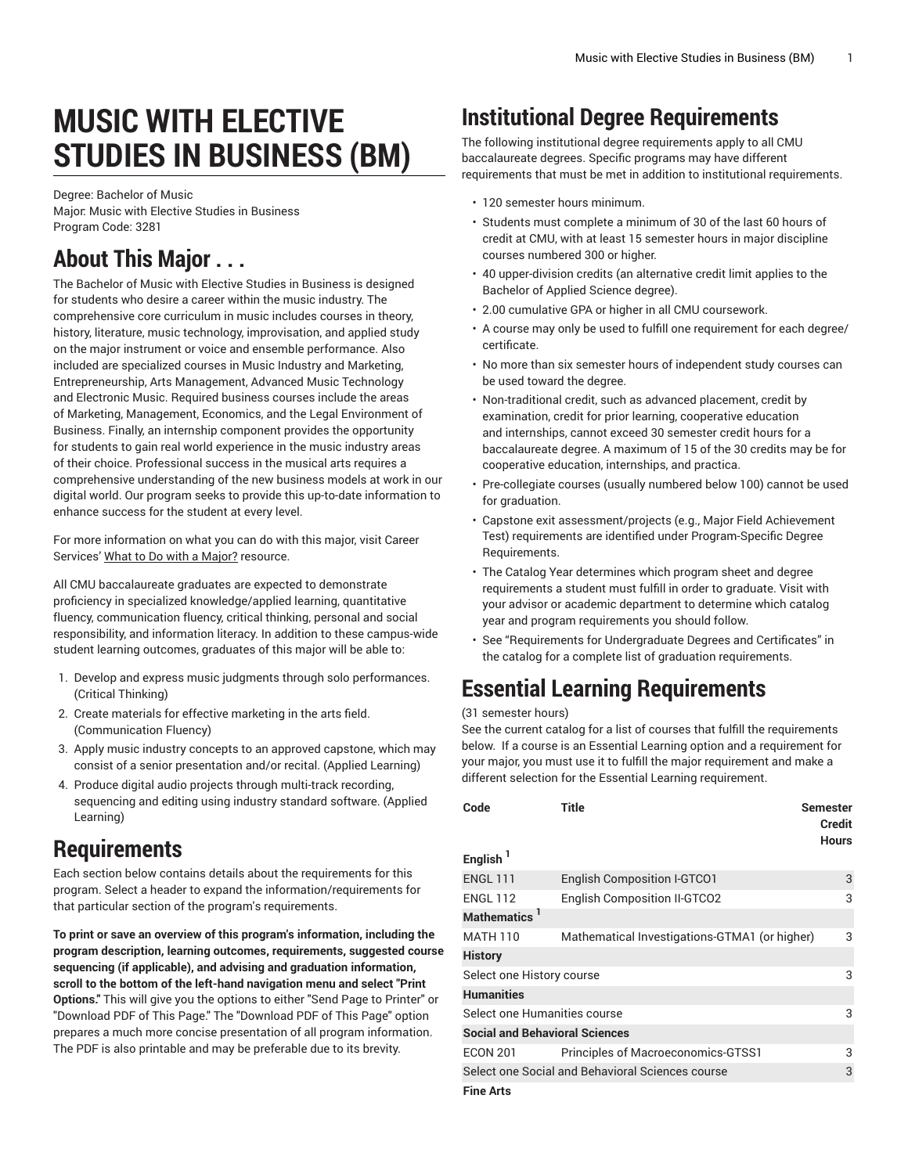# **MUSIC WITH ELECTIVE STUDIES IN BUSINESS (BM)**

Degree: Bachelor of Music Major: Music with Elective Studies in Business Program Code: 3281

### **About This Major . . .**

The Bachelor of Music with Elective Studies in Business is designed for students who desire a career within the music industry. The comprehensive core curriculum in music includes courses in theory, history, literature, music technology, improvisation, and applied study on the major instrument or voice and ensemble performance. Also included are specialized courses in Music Industry and Marketing, Entrepreneurship, Arts Management, Advanced Music Technology and Electronic Music. Required business courses include the areas of Marketing, Management, Economics, and the Legal Environment of Business. Finally, an internship component provides the opportunity for students to gain real world experience in the music industry areas of their choice. Professional success in the musical arts requires a comprehensive understanding of the new business models at work in our digital world. Our program seeks to provide this up-to-date information to enhance success for the student at every level.

For more information on what you can do with this major, visit Career Services' [What to Do with a Major?](https://www.coloradomesa.edu/career/explore/major.html) resource.

All CMU baccalaureate graduates are expected to demonstrate proficiency in specialized knowledge/applied learning, quantitative fluency, communication fluency, critical thinking, personal and social responsibility, and information literacy. In addition to these campus-wide student learning outcomes, graduates of this major will be able to:

- 1. Develop and express music judgments through solo performances. (Critical Thinking)
- 2. Create materials for effective marketing in the arts field. (Communication Fluency)
- 3. Apply music industry concepts to an approved capstone, which may consist of a senior presentation and/or recital. (Applied Learning)
- 4. Produce digital audio projects through multi-track recording, sequencing and editing using industry standard software. (Applied Learning)

#### **Requirements**

Each section below contains details about the requirements for this program. Select a header to expand the information/requirements for that particular section of the program's requirements.

**To print or save an overview of this program's information, including the program description, learning outcomes, requirements, suggested course sequencing (if applicable), and advising and graduation information, scroll to the bottom of the left-hand navigation menu and select "Print Options."** This will give you the options to either "Send Page to Printer" or "Download PDF of This Page." The "Download PDF of This Page" option prepares a much more concise presentation of all program information. The PDF is also printable and may be preferable due to its brevity.

#### **Institutional Degree Requirements**

The following institutional degree requirements apply to all CMU baccalaureate degrees. Specific programs may have different requirements that must be met in addition to institutional requirements.

- 120 semester hours minimum.
- Students must complete a minimum of 30 of the last 60 hours of credit at CMU, with at least 15 semester hours in major discipline courses numbered 300 or higher.
- 40 upper-division credits (an alternative credit limit applies to the Bachelor of Applied Science degree).
- 2.00 cumulative GPA or higher in all CMU coursework.
- A course may only be used to fulfill one requirement for each degree/ certificate.
- No more than six semester hours of independent study courses can be used toward the degree.
- Non-traditional credit, such as advanced placement, credit by examination, credit for prior learning, cooperative education and internships, cannot exceed 30 semester credit hours for a baccalaureate degree. A maximum of 15 of the 30 credits may be for cooperative education, internships, and practica.
- Pre-collegiate courses (usually numbered below 100) cannot be used for graduation.
- Capstone exit assessment/projects (e.g., Major Field Achievement Test) requirements are identified under Program-Specific Degree Requirements.
- The Catalog Year determines which program sheet and degree requirements a student must fulfill in order to graduate. Visit with your advisor or academic department to determine which catalog year and program requirements you should follow.
- See "Requirements for Undergraduate Degrees and Certificates" in the catalog for a complete list of graduation requirements.

# **Essential Learning Requirements**

#### (31 semester hours)

See the current catalog for a list of courses that fulfill the requirements below. If a course is an Essential Learning option and a requirement for your major, you must use it to fulfill the major requirement and make a different selection for the Essential Learning requirement.

| Code                                  | Title                                            | <b>Semester</b><br><b>Credit</b><br><b>Hours</b> |
|---------------------------------------|--------------------------------------------------|--------------------------------------------------|
| English <sup>1</sup>                  |                                                  |                                                  |
| <b>ENGL 111</b>                       | <b>English Composition I-GTCO1</b>               | 3                                                |
| <b>ENGL 112</b>                       | <b>English Composition II-GTCO2</b>              | 3                                                |
| Mathematics <sup>1</sup>              |                                                  |                                                  |
| <b>MATH 110</b>                       | Mathematical Investigations-GTMA1 (or higher)    | 3                                                |
| <b>History</b>                        |                                                  |                                                  |
| Select one History course             |                                                  | 3                                                |
| <b>Humanities</b>                     |                                                  |                                                  |
| Select one Humanities course          |                                                  | 3                                                |
| <b>Social and Behavioral Sciences</b> |                                                  |                                                  |
| <b>ECON 201</b>                       | <b>Principles of Macroeconomics-GTSS1</b>        | 3                                                |
|                                       | Select one Social and Behavioral Sciences course | 3                                                |
| <b>Fine Arts</b>                      |                                                  |                                                  |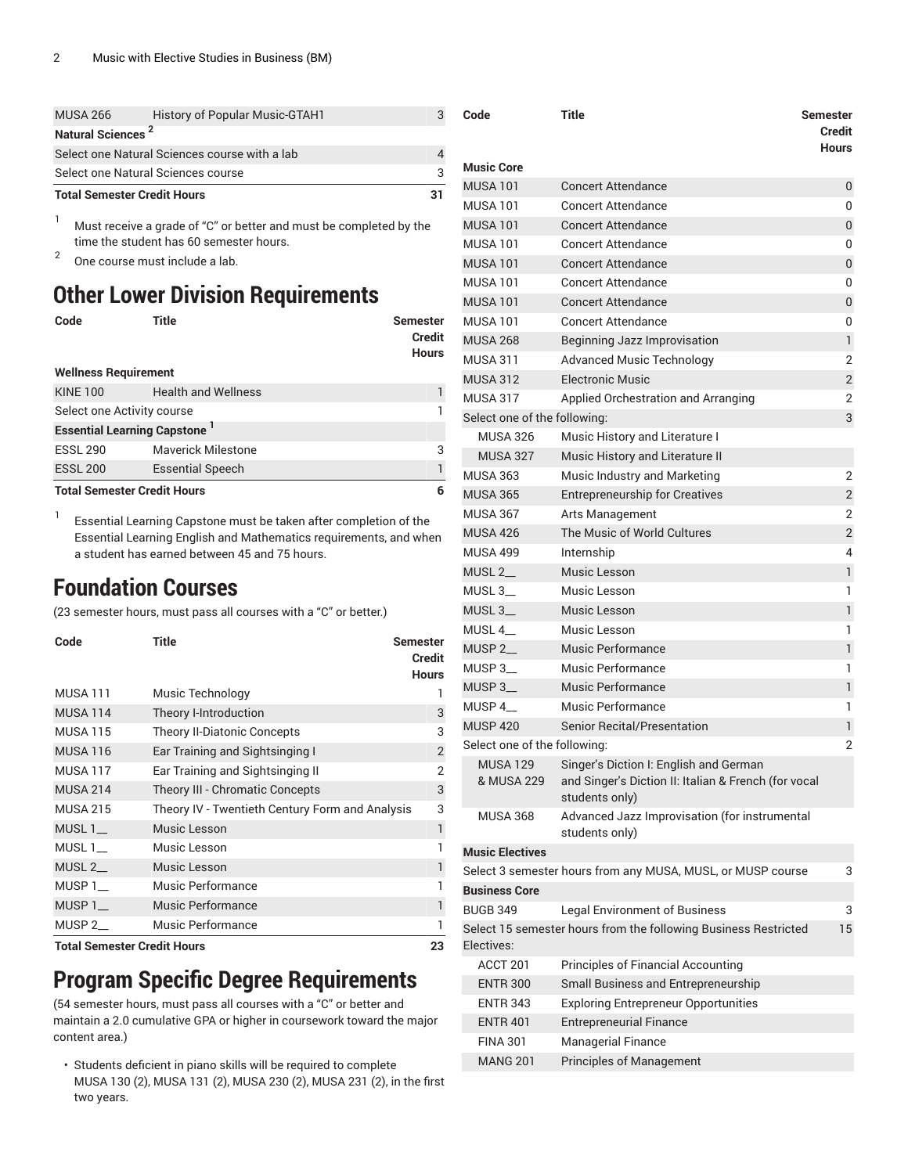| MUSA 266                                      | <b>History of Popular Music-GTAH1</b> |   |
|-----------------------------------------------|---------------------------------------|---|
| Natural Sciences <sup>2</sup>                 |                                       |   |
| Select one Natural Sciences course with a lab |                                       |   |
| Select one Natural Sciences course            |                                       | 3 |
| <b>Total Semester Credit Hours</b>            |                                       |   |

<sup>1</sup> Must receive a grade of "C" or better and must be completed by the time the student has 60 semester hours.

2 One course must include a lab.

#### **Other Lower Division Requirements**

| Code                               | Title                              | <b>Semester</b><br><b>Credit</b><br><b>Hours</b> |
|------------------------------------|------------------------------------|--------------------------------------------------|
| <b>Wellness Requirement</b>        |                                    |                                                  |
| <b>KINE 100</b>                    | <b>Health and Wellness</b>         |                                                  |
| Select one Activity course         |                                    |                                                  |
| <b>Essential Learning Capstone</b> |                                    |                                                  |
| <b>ESSL 290</b>                    | <b>Maverick Milestone</b>          | 3                                                |
| <b>ESSL 200</b>                    | <b>Essential Speech</b>            |                                                  |
|                                    | <b>Total Semester Credit Hours</b> | 6                                                |

1 Essential Learning Capstone must be taken after completion of the Essential Learning English and Mathematics requirements, and when a student has earned between 45 and 75 hours.

#### **Foundation Courses**

(23 semester hours, must pass all courses with a "C" or better.)

| Code                               | <b>Title</b>                                    | <b>Semester</b> |
|------------------------------------|-------------------------------------------------|-----------------|
|                                    |                                                 | <b>Credit</b>   |
|                                    |                                                 | <b>Hours</b>    |
| <b>MUSA 111</b>                    | Music Technology                                |                 |
| <b>MUSA 114</b>                    | Theory I-Introduction                           | 3               |
| <b>MUSA 115</b>                    | <b>Theory Il-Diatonic Concepts</b>              | 3               |
| <b>MUSA 116</b>                    | Ear Training and Sightsinging I                 | $\overline{2}$  |
| <b>MUSA 117</b>                    | Ear Training and Sightsinging II                | 2               |
| <b>MUSA 214</b>                    | Theory III - Chromatic Concepts                 | 3               |
| <b>MUSA 215</b>                    | Theory IV - Twentieth Century Form and Analysis | 3               |
| MUSL $1_{-}$                       | Music Lesson                                    | 1               |
| MUSL $1_{-}$                       | Music Lesson                                    | 1               |
| $MUSL 2$ <sub>—</sub>              | <b>Music Lesson</b>                             | 1               |
| MUSP $1_{-}$                       | <b>Music Performance</b>                        |                 |
| MUSP 1                             | <b>Music Performance</b>                        | 1               |
| MUSP $2_{-}$                       | <b>Music Performance</b>                        |                 |
| <b>Total Semester Credit Hours</b> |                                                 |                 |

## **Program Specific Degree Requirements**

(54 semester hours, must pass all courses with a "C" or better and maintain a 2.0 cumulative GPA or higher in coursework toward the major content area.)

• Students deficient in piano skills will be required to complete MUSA 130 (2), MUSA 131 (2), MUSA 230 (2), MUSA 231 (2), in the first two years.

| Code                          | <b>Title</b>                                                                                                     | <b>Semester</b><br>Credit<br><b>Hours</b> |
|-------------------------------|------------------------------------------------------------------------------------------------------------------|-------------------------------------------|
| <b>Music Core</b>             |                                                                                                                  |                                           |
| <b>MUSA 101</b>               | <b>Concert Attendance</b>                                                                                        | 0                                         |
| <b>MUSA 101</b>               | <b>Concert Attendance</b>                                                                                        | 0                                         |
| <b>MUSA 101</b>               | <b>Concert Attendance</b>                                                                                        | 0                                         |
| <b>MUSA 101</b>               | <b>Concert Attendance</b>                                                                                        | 0                                         |
| <b>MUSA 101</b>               | <b>Concert Attendance</b>                                                                                        | 0                                         |
| <b>MUSA 101</b>               | Concert Attendance                                                                                               | 0                                         |
| <b>MUSA 101</b>               | <b>Concert Attendance</b>                                                                                        | 0                                         |
| <b>MUSA 101</b>               | <b>Concert Attendance</b>                                                                                        | 0                                         |
| <b>MUSA 268</b>               | Beginning Jazz Improvisation                                                                                     | $\mathbf{1}$                              |
| <b>MUSA 311</b>               | <b>Advanced Music Technology</b>                                                                                 | 2                                         |
| <b>MUSA 312</b>               | <b>Electronic Music</b>                                                                                          | $\overline{2}$                            |
| MUSA 317                      | Applied Orchestration and Arranging                                                                              | 2                                         |
| Select one of the following:  |                                                                                                                  | 3                                         |
| <b>MUSA 326</b>               | Music History and Literature I                                                                                   |                                           |
| <b>MUSA 327</b>               | Music History and Literature II                                                                                  |                                           |
| <b>MUSA 363</b>               | Music Industry and Marketing                                                                                     | 2                                         |
| <b>MUSA 365</b>               | <b>Entrepreneurship for Creatives</b>                                                                            | $\overline{2}$                            |
| <b>MUSA 367</b>               | Arts Management                                                                                                  | 2                                         |
| <b>MUSA 426</b>               | The Music of World Cultures                                                                                      | $\sqrt{2}$                                |
| <b>MUSA 499</b>               | Internship                                                                                                       | 4                                         |
| MUSL <sub>2</sub> _           | <b>Music Lesson</b>                                                                                              | $\mathbf{1}$                              |
| MUSL <sub>3</sub> _           | Music Lesson                                                                                                     | 1                                         |
| MUSL <sub>3_</sub>            | <b>Music Lesson</b>                                                                                              | $\mathbf{1}$                              |
| MUSL <sub>4</sub> _           | Music Lesson                                                                                                     | 1                                         |
| MUSP <sub>2</sub>             | <b>Music Performance</b>                                                                                         | $\mathbf{1}$                              |
| MUSP 3                        | Music Performance                                                                                                | 1                                         |
| MUSP 3_                       | Music Performance                                                                                                | 1                                         |
| MUSP 4                        | Music Performance                                                                                                | 1                                         |
| <b>MUSP 420</b>               | Senior Recital/Presentation                                                                                      | $\mathbf{1}$                              |
| Select one of the following:  |                                                                                                                  | 2                                         |
| <b>MUSA 129</b><br>& MUSA 229 | Singer's Diction I: English and German<br>and Singer's Diction II: Italian & French (for vocal<br>students only) |                                           |
| <b>MUSA 368</b>               | Advanced Jazz Improvisation (for instrumental<br>students only)                                                  |                                           |
| <b>Music Electives</b>        |                                                                                                                  |                                           |
|                               | Select 3 semester hours from any MUSA, MUSL, or MUSP course                                                      | 3                                         |
| <b>Business Core</b>          |                                                                                                                  |                                           |
| <b>BUGB 349</b>               | <b>Legal Environment of Business</b>                                                                             | 3                                         |
| Electives:                    | Select 15 semester hours from the following Business Restricted                                                  | 15                                        |
| ACCT 201                      | Principles of Financial Accounting                                                                               |                                           |
| <b>ENTR 300</b>               | Small Business and Entrepreneurship                                                                              |                                           |
| <b>ENTR 343</b>               | <b>Exploring Entrepreneur Opportunities</b>                                                                      |                                           |
| <b>ENTR 401</b>               | <b>Entrepreneurial Finance</b>                                                                                   |                                           |
| <b>FINA 301</b>               | Managerial Finance                                                                                               |                                           |
| <b>MANG 201</b>               | <b>Principles of Management</b>                                                                                  |                                           |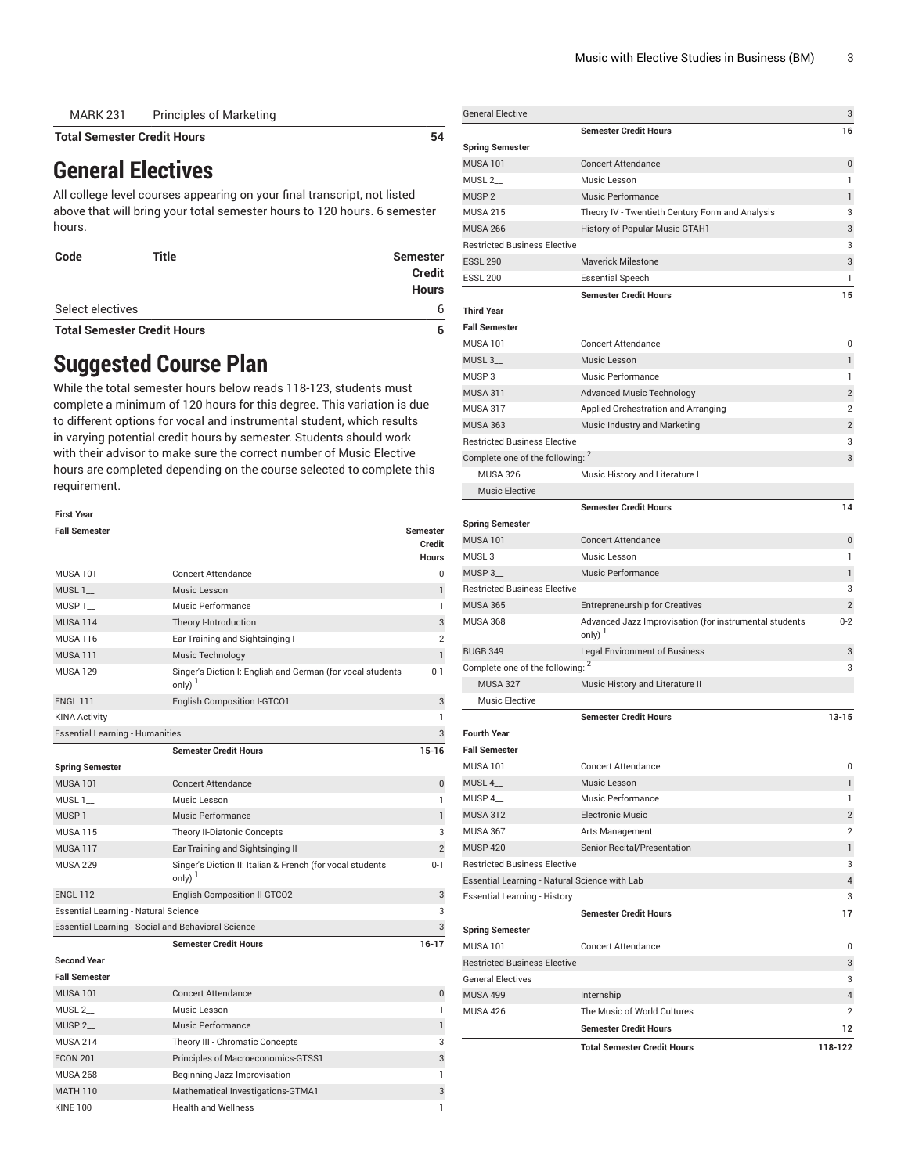| <b>MARK 231</b> | <b>Principles of Marketing</b> |  |
|-----------------|--------------------------------|--|

**Total Semester Credit Hours 54**

**General Electives**

All college level courses appearing on your final transcript, not listed above that will bring your total semester hours to 120 hours. 6 semester hours.

| Code                               | Title | <b>Semester</b><br><b>Credit</b><br><b>Hours</b> |
|------------------------------------|-------|--------------------------------------------------|
| Select electives                   |       |                                                  |
| <b>Total Semester Credit Hours</b> |       |                                                  |

# **Suggested Course Plan**

While the total semester hours below reads 118-123, students must complete a minimum of 120 hours for this degree. This variation is due to different options for vocal and instrumental student, which results in varying potential credit hours by semester. Students should work with their advisor to make sure the correct number of Music Elective hours are completed depending on the course selected to complete this requirement.

| <b>First Year</b>                                  |                                                                                 |                |
|----------------------------------------------------|---------------------------------------------------------------------------------|----------------|
| <b>Fall Semester</b>                               |                                                                                 | Semester       |
|                                                    |                                                                                 | Credit         |
|                                                    |                                                                                 | <b>Hours</b>   |
| MUSA 101                                           | <b>Concert Attendance</b>                                                       | <sup>n</sup>   |
| MUSL $1$ <sub>--</sub>                             | Music Lesson                                                                    | $\mathbf{1}$   |
| MUSP <sub>1</sub>                                  | Music Performance                                                               | 1              |
| <b>MUSA 114</b>                                    | Theory I-Introduction                                                           | 3              |
| <b>MUSA 116</b>                                    | Ear Training and Sightsinging I                                                 | $\overline{2}$ |
| <b>MUSA 111</b>                                    | Music Technology                                                                | $\mathbf{1}$   |
| <b>MUSA 129</b>                                    | Singer's Diction I: English and German (for vocal students<br>only) $1$         | $0 - 1$        |
| <b>ENGL 111</b>                                    | <b>English Composition I-GTCO1</b>                                              | 3              |
| <b>KINA Activity</b>                               |                                                                                 | 1              |
| <b>Essential Learning - Humanities</b>             |                                                                                 | 3              |
|                                                    | <b>Semester Credit Hours</b>                                                    | $15 - 16$      |
| <b>Spring Semester</b>                             |                                                                                 |                |
| <b>MUSA 101</b>                                    | <b>Concert Attendance</b>                                                       | $\bf{0}$       |
| MUSL 1                                             | Music Lesson                                                                    | 1              |
| MUSP <sub>1</sub> _                                | <b>Music Performance</b>                                                        | $\mathbf{1}$   |
| <b>MUSA 115</b>                                    | Theory II-Diatonic Concepts                                                     | 3              |
| MUSA 117                                           | Ear Training and Sightsinging II                                                | $\overline{2}$ |
| <b>MUSA 229</b>                                    | Singer's Diction II: Italian & French (for vocal students<br>only) <sup>1</sup> | $0 - 1$        |
| <b>ENGL 112</b>                                    | <b>English Composition II-GTCO2</b>                                             | 3              |
| <b>Essential Learning - Natural Science</b>        |                                                                                 | 3              |
| Essential Learning - Social and Behavioral Science |                                                                                 | 3              |
|                                                    | <b>Semester Credit Hours</b>                                                    | $16-17$        |
| <b>Second Year</b>                                 |                                                                                 |                |
| <b>Fall Semester</b>                               |                                                                                 |                |
| MUSA 101                                           | Concert Attendance                                                              | $\bf{0}$       |
| MUSL 2                                             | Music Lesson                                                                    | 1              |
| MUSP <sub>2</sub>                                  | Music Performance                                                               | $\mathbf{1}$   |

MUSA 214 Theory III - Chromatic Concepts 3 ECON 201 Principles of Macroeconomics-GTSS1 3 MUSA 268 Beginning Jazz Improvisation 1 MATH 110 Mathematical Investigations-GTMA1 3 KINE 100 Health and Wellness 1

| <b>General Elective</b>                       |                                                                     | 3              |
|-----------------------------------------------|---------------------------------------------------------------------|----------------|
|                                               | <b>Semester Credit Hours</b>                                        | 16             |
| <b>Spring Semester</b>                        |                                                                     |                |
| <b>MUSA 101</b>                               | <b>Concert Attendance</b>                                           | 0              |
| MUSL <sub>2</sub>                             | Music Lesson                                                        | 1              |
| MUSP <sub>2</sub>                             | Music Performance                                                   | 1              |
| <b>MUSA 215</b>                               | Theory IV - Twentieth Century Form and Analysis                     | 3              |
| <b>MUSA 266</b>                               | History of Popular Music-GTAH1                                      | 3              |
| <b>Restricted Business Elective</b>           |                                                                     | 3              |
| <b>ESSL 290</b>                               | <b>Maverick Milestone</b>                                           | 3              |
| <b>ESSL 200</b>                               | <b>Essential Speech</b>                                             | 1              |
|                                               | <b>Semester Credit Hours</b>                                        | 15             |
| <b>Third Year</b>                             |                                                                     |                |
| <b>Fall Semester</b>                          |                                                                     |                |
| <b>MUSA 101</b>                               | <b>Concert Attendance</b>                                           | 0              |
| MUSL <sub>3</sub> _                           | Music Lesson                                                        | 1              |
| MUSP 3_                                       | Music Performance                                                   | 1              |
| <b>MUSA 311</b>                               | <b>Advanced Music Technology</b>                                    | $\overline{2}$ |
| <b>MUSA 317</b>                               | Applied Orchestration and Arranging                                 | $\overline{2}$ |
| <b>MUSA 363</b>                               | Music Industry and Marketing                                        | $\overline{2}$ |
| <b>Restricted Business Elective</b>           |                                                                     | 3              |
| Complete one of the following: 2              |                                                                     | 3              |
| <b>MUSA 326</b>                               | Music History and Literature I                                      |                |
| <b>Music Elective</b>                         |                                                                     |                |
|                                               | <b>Semester Credit Hours</b>                                        | 14             |
| <b>Spring Semester</b>                        |                                                                     |                |
| <b>MUSA 101</b>                               | <b>Concert Attendance</b>                                           | 0              |
| MUSL <sub>3</sub>                             | Music Lesson                                                        | 1              |
| MUSP <sub>3</sub> _                           | <b>Music Performance</b>                                            | $\mathbf{1}$   |
| <b>Restricted Business Elective</b>           |                                                                     | 3              |
| <b>MUSA 365</b>                               | <b>Entrepreneurship for Creatives</b>                               | $\overline{2}$ |
| <b>MUSA 368</b>                               | Advanced Jazz Improvisation (for instrumental students<br>only) $1$ | $0 - 2$        |
| <b>BUGB 349</b>                               | <b>Legal Environment of Business</b>                                | 3              |
| Complete one of the following: 2              |                                                                     | 3              |
| <b>MUSA 327</b>                               | Music History and Literature II                                     |                |
| <b>Music Elective</b>                         |                                                                     |                |
| <b>Fourth Year</b>                            | <b>Semester Credit Hours</b>                                        | $13 - 15$      |
| <b>Fall Semester</b>                          |                                                                     |                |
| MUSA 101                                      | <b>Concert Attendance</b>                                           | 0              |
| MUSL 4_                                       | Music Lesson                                                        | $\mathbf{1}$   |
| MUSP 4_                                       | Music Performance                                                   | 1              |
| <b>MUSA 312</b>                               | <b>Electronic Music</b>                                             | $\overline{2}$ |
| <b>MUSA 367</b>                               | Arts Management                                                     | 2              |
| <b>MUSP 420</b>                               | Senior Recital/Presentation                                         | 1              |
| <b>Restricted Business Elective</b>           |                                                                     | 3              |
| Essential Learning - Natural Science with Lab |                                                                     | 4              |
| <b>Essential Learning - History</b>           |                                                                     | 3              |
|                                               | <b>Semester Credit Hours</b>                                        | 17             |
| <b>Spring Semester</b>                        |                                                                     |                |
| <b>MUSA 101</b>                               | <b>Concert Attendance</b>                                           | 0              |
| <b>Restricted Business Elective</b>           |                                                                     | 3              |
| <b>General Electives</b>                      |                                                                     | 3              |
| <b>MUSA 499</b>                               | Internship                                                          | 4              |
| <b>MUSA 426</b>                               | The Music of World Cultures                                         | 2              |
|                                               | <b>Semester Credit Hours</b>                                        | 12             |
|                                               | <b>Total Semester Credit Hours</b>                                  | 118-122        |